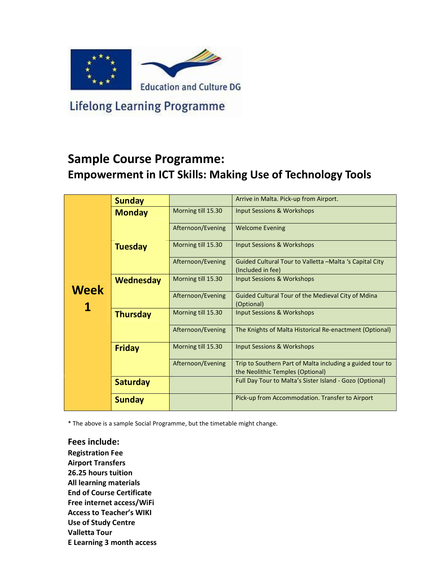

**Lifelong Learning Programme** 

## Sample Course Programme: Empowerment in ICT Skills: Making Use of Technology Tools

|             | <b>Sunday</b>    |                    | Arrive in Malta. Pick-up from Airport.                                                        |  |  |
|-------------|------------------|--------------------|-----------------------------------------------------------------------------------------------|--|--|
|             | <b>Monday</b>    | Morning till 15.30 | <b>Input Sessions &amp; Workshops</b>                                                         |  |  |
| <b>Week</b> |                  | Afternoon/Evening  | <b>Welcome Evening</b>                                                                        |  |  |
|             | <b>Tuesday</b>   | Morning till 15.30 | Input Sessions & Workshops                                                                    |  |  |
|             |                  | Afternoon/Evening  | Guided Cultural Tour to Valletta -Malta 's Capital City<br>(Included in fee)                  |  |  |
|             | <b>Wednesday</b> | Morning till 15.30 | <b>Input Sessions &amp; Workshops</b>                                                         |  |  |
|             |                  | Afternoon/Evening  | Guided Cultural Tour of the Medieval City of Mdina<br>(Optional)                              |  |  |
|             | <b>Thursday</b>  | Morning till 15.30 | <b>Input Sessions &amp; Workshops</b>                                                         |  |  |
|             |                  | Afternoon/Evening  | The Knights of Malta Historical Re-enactment (Optional)                                       |  |  |
|             | <b>Friday</b>    | Morning till 15.30 | Input Sessions & Workshops                                                                    |  |  |
|             |                  | Afternoon/Evening  | Trip to Southern Part of Malta including a guided tour to<br>the Neolithic Temples (Optional) |  |  |
|             | <b>Saturday</b>  |                    | Full Day Tour to Malta's Sister Island - Gozo (Optional)                                      |  |  |
|             | <b>Sunday</b>    |                    | Pick-up from Accommodation. Transfer to Airport                                               |  |  |

\* The above is a sample Social Programme, but the timetable might change.

Fees include: Registration Fee Airport Transfers 26.25 hours tuition All learning materials End of Course Certificate Free internet access/WiFi Access to Teacher's WIKI Use of Study Centre Valletta Tour E Learning 3 month access